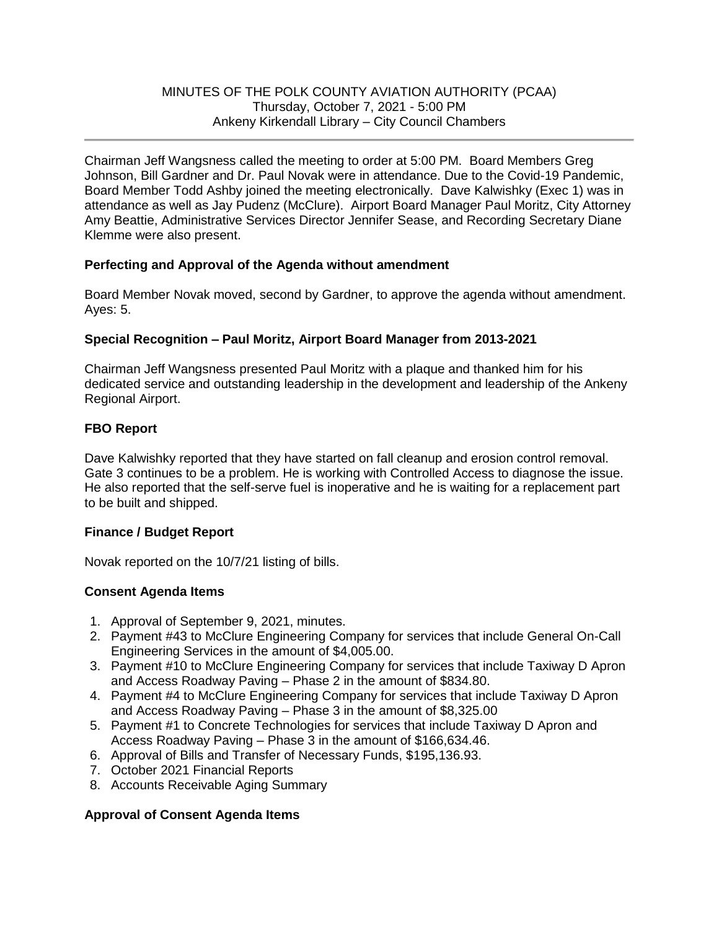Chairman Jeff Wangsness called the meeting to order at 5:00 PM. Board Members Greg Johnson, Bill Gardner and Dr. Paul Novak were in attendance. Due to the Covid-19 Pandemic, Board Member Todd Ashby joined the meeting electronically. Dave Kalwishky (Exec 1) was in attendance as well as Jay Pudenz (McClure). Airport Board Manager Paul Moritz, City Attorney Amy Beattie, Administrative Services Director Jennifer Sease, and Recording Secretary Diane Klemme were also present.

# **Perfecting and Approval of the Agenda without amendment**

Board Member Novak moved, second by Gardner, to approve the agenda without amendment. Ayes: 5.

## **Special Recognition – Paul Moritz, Airport Board Manager from 2013-2021**

Chairman Jeff Wangsness presented Paul Moritz with a plaque and thanked him for his dedicated service and outstanding leadership in the development and leadership of the Ankeny Regional Airport.

## **FBO Report**

Dave Kalwishky reported that they have started on fall cleanup and erosion control removal. Gate 3 continues to be a problem. He is working with Controlled Access to diagnose the issue. He also reported that the self-serve fuel is inoperative and he is waiting for a replacement part to be built and shipped.

### **Finance / Budget Report**

Novak reported on the 10/7/21 listing of bills.

# **Consent Agenda Items**

- 1. Approval of September 9, 2021, minutes.
- 2. Payment #43 to McClure Engineering Company for services that include General On-Call Engineering Services in the amount of \$4,005.00.
- 3. Payment #10 to McClure Engineering Company for services that include Taxiway D Apron and Access Roadway Paving – Phase 2 in the amount of \$834.80.
- 4. Payment #4 to McClure Engineering Company for services that include Taxiway D Apron and Access Roadway Paving – Phase 3 in the amount of \$8,325.00
- 5. Payment #1 to Concrete Technologies for services that include Taxiway D Apron and Access Roadway Paving – Phase 3 in the amount of \$166,634.46.
- 6. Approval of Bills and Transfer of Necessary Funds, \$195,136.93.
- 7. October 2021 Financial Reports
- 8. Accounts Receivable Aging Summary

### **Approval of Consent Agenda Items**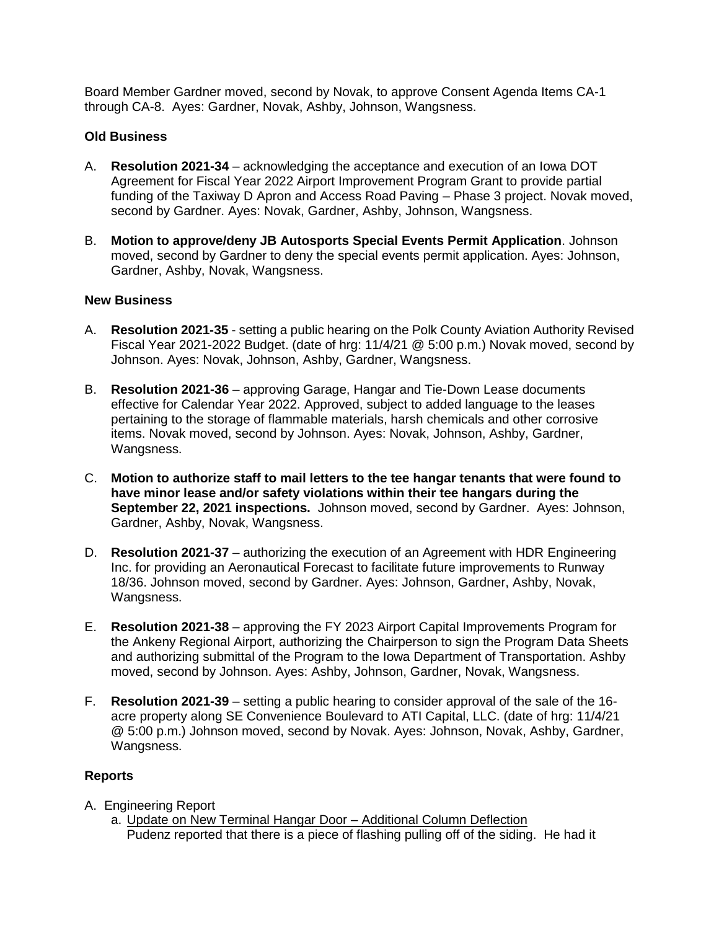Board Member Gardner moved, second by Novak, to approve Consent Agenda Items CA-1 through CA-8. Ayes: Gardner, Novak, Ashby, Johnson, Wangsness.

### **Old Business**

- A. **Resolution 2021-34** acknowledging the acceptance and execution of an Iowa DOT Agreement for Fiscal Year 2022 Airport Improvement Program Grant to provide partial funding of the Taxiway D Apron and Access Road Paving – Phase 3 project. Novak moved, second by Gardner. Ayes: Novak, Gardner, Ashby, Johnson, Wangsness.
- B. **Motion to approve/deny JB Autosports Special Events Permit Application**. Johnson moved, second by Gardner to deny the special events permit application. Ayes: Johnson, Gardner, Ashby, Novak, Wangsness.

#### **New Business**

- A. **Resolution 2021-35** setting a public hearing on the Polk County Aviation Authority Revised Fiscal Year 2021-2022 Budget. (date of hrg: 11/4/21 @ 5:00 p.m.) Novak moved, second by Johnson. Ayes: Novak, Johnson, Ashby, Gardner, Wangsness.
- B. **Resolution 2021-36**  approving Garage, Hangar and Tie-Down Lease documents effective for Calendar Year 2022. Approved, subject to added language to the leases pertaining to the storage of flammable materials, harsh chemicals and other corrosive items. Novak moved, second by Johnson. Ayes: Novak, Johnson, Ashby, Gardner, Wangsness.
- C. **Motion to authorize staff to mail letters to the tee hangar tenants that were found to have minor lease and/or safety violations within their tee hangars during the September 22, 2021 inspections.** Johnson moved, second by Gardner. Ayes: Johnson, Gardner, Ashby, Novak, Wangsness.
- D. **Resolution 2021-37** authorizing the execution of an Agreement with HDR Engineering Inc. for providing an Aeronautical Forecast to facilitate future improvements to Runway 18/36. Johnson moved, second by Gardner. Ayes: Johnson, Gardner, Ashby, Novak, Wangsness.
- E. **Resolution 2021-38**  approving the FY 2023 Airport Capital Improvements Program for the Ankeny Regional Airport, authorizing the Chairperson to sign the Program Data Sheets and authorizing submittal of the Program to the Iowa Department of Transportation. Ashby moved, second by Johnson. Ayes: Ashby, Johnson, Gardner, Novak, Wangsness.
- F. **Resolution 2021-39** setting a public hearing to consider approval of the sale of the 16 acre property along SE Convenience Boulevard to ATI Capital, LLC. (date of hrg: 11/4/21 @ 5:00 p.m.) Johnson moved, second by Novak. Ayes: Johnson, Novak, Ashby, Gardner, Wangsness.

#### **Reports**

- A. Engineering Report
	- a. Update on New Terminal Hangar Door Additional Column Deflection Pudenz reported that there is a piece of flashing pulling off of the siding. He had it